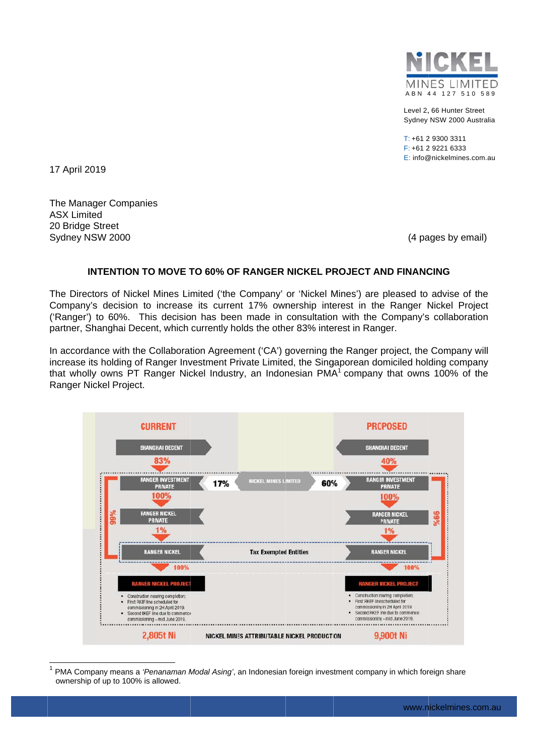

Level 2, 66 Hunter Street Sydney NSW 2000 Australia

 $T: +61293003311$  $F: +61292216333$ E: info@nickelmines.com.au

17 April 2019

The Manager Companies **ASX Limited** 20 Bridge Street Sydney NSW 2000

(4 pages by email)

## **INTENTION TO MOVE TO 60% OF RANGER NICKEL PROJECT AND FINANCING**

The Directors of Nickel Mines Limited ('the Company' or 'Nickel Mines') are pleased to advise of the Company's decision to increase its current 17% ownership interest in the Ranger Nickel Project ('Ranger') to 60%. This decision has been made in consultation with the Company's collaboration partner, Shanghai Decent, which currently holds the other 83% interest in Ranger.

In accordance with the Collaboration Agreement ('CA') governing the Ranger project, the Company will increase its holding of Ranger Investment Private Limited, the Singaporean domiciled holding company that wholly owns PT Ranger Nickel Industry, an Indonesian PMA<sup>1</sup> company that owns 100% of the Ranger Nickel Project.



<sup>1</sup> PMA Company means a 'Penanaman Modal Asing', an Indonesian foreign investment company in which foreign share ownership of up to 100% is allowed.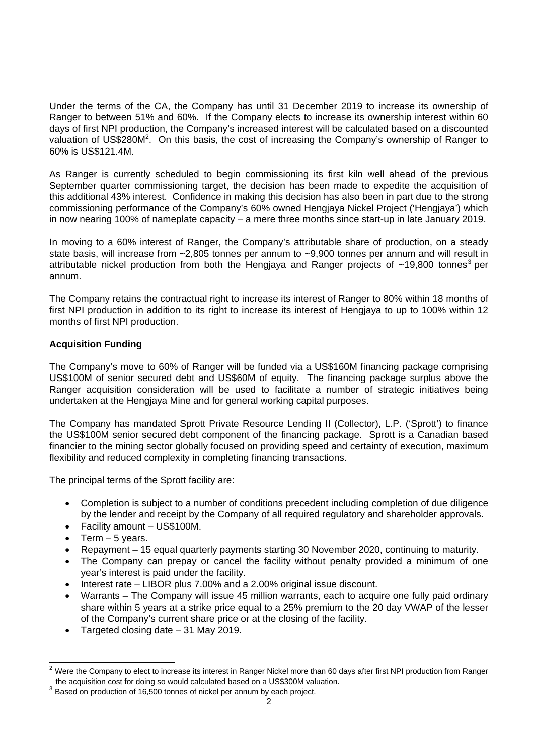Under the terms of the CA, the Company has until 31 December 2019 to increase its ownership of Ranger to between 51% and 60%. If the Company elects to increase its ownership interest within 60 days of first NPI production, the Company's increased interest will be calculated based on a discounted valuation of US\$280M<sup>2</sup>. On this basis, the cost of increasing the Company's ownership of Ranger to 60% is US\$121.4M.

As Ranger is currently scheduled to begin commissioning its first kiln well ahead of the previous September quarter commissioning target, the decision has been made to expedite the acquisition of this additional 43% interest. Confidence in making this decision has also been in part due to the strong commissioning performance of the Company's 60% owned Hengjaya Nickel Project ('Hengjaya') which in now nearing 100% of nameplate capacity – a mere three months since start-up in late January 2019.

In moving to a 60% interest of Ranger, the Company's attributable share of production, on a steady state basis, will increase from ~2,805 tonnes per annum to ~9,900 tonnes per annum and will result in attributable nickel production from both the Hengjaya and Ranger projects of  $\sim$ 19,800 tonnes<sup>3</sup> per annum.

The Company retains the contractual right to increase its interest of Ranger to 80% within 18 months of first NPI production in addition to its right to increase its interest of Hengjaya to up to 100% within 12 months of first NPI production.

## **Acquisition Funding**

The Company's move to 60% of Ranger will be funded via a US\$160M financing package comprising US\$100M of senior secured debt and US\$60M of equity. The financing package surplus above the Ranger acquisition consideration will be used to facilitate a number of strategic initiatives being undertaken at the Hengjaya Mine and for general working capital purposes.

The Company has mandated Sprott Private Resource Lending II (Collector), L.P. ('Sprott') to finance the US\$100M senior secured debt component of the financing package. Sprott is a Canadian based financier to the mining sector globally focused on providing speed and certainty of execution, maximum flexibility and reduced complexity in completing financing transactions.

The principal terms of the Sprott facility are:

- Completion is subject to a number of conditions precedent including completion of due diligence by the lender and receipt by the Company of all required regulatory and shareholder approvals.
- Facility amount US\$100M.
- $\bullet$  Term 5 years.

-

- Repayment 15 equal quarterly payments starting 30 November 2020, continuing to maturity.
- The Company can prepay or cancel the facility without penalty provided a minimum of one year's interest is paid under the facility.
- Interest rate LIBOR plus 7.00% and a 2.00% original issue discount.
- Warrants The Company will issue 45 million warrants, each to acquire one fully paid ordinary share within 5 years at a strike price equal to a 25% premium to the 20 day VWAP of the lesser of the Company's current share price or at the closing of the facility.
- Targeted closing date 31 May 2019.

 $2$  Were the Company to elect to increase its interest in Ranger Nickel more than 60 days after first NPI production from Ranger the acquisition cost for doing so would calculated based on a US\$300M valuation. 3 Based on production of 16,500 tonnes of nickel per annum by each project.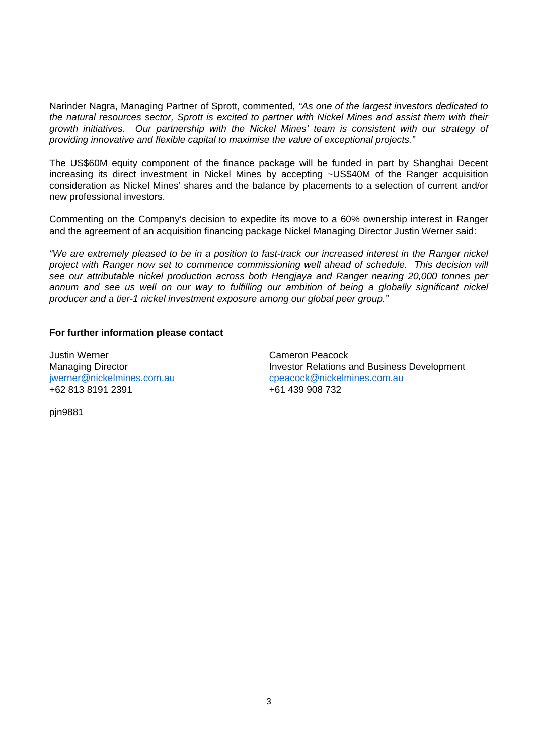Narinder Nagra, Managing Partner of Sprott, commented*, "As one of the largest investors dedicated to the natural resources sector, Sprott is excited to partner with Nickel Mines and assist them with their growth initiatives. Our partnership with the Nickel Mines' team is consistent with our strategy of providing innovative and flexible capital to maximise the value of exceptional projects."*

The US\$60M equity component of the finance package will be funded in part by Shanghai Decent increasing its direct investment in Nickel Mines by accepting ~US\$40M of the Ranger acquisition consideration as Nickel Mines' shares and the balance by placements to a selection of current and/or new professional investors.

Commenting on the Company's decision to expedite its move to a 60% ownership interest in Ranger and the agreement of an acquisition financing package Nickel Managing Director Justin Werner said:

*"We are extremely pleased to be in a position to fast-track our increased interest in the Ranger nickel project with Ranger now set to commence commissioning well ahead of schedule. This decision will see our attributable nickel production across both Hengjaya and Ranger nearing 20,000 tonnes per*  annum and see us well on our way to fulfilling our ambition of being a globally significant nickel *producer and a tier-1 nickel investment exposure among our global peer group."* 

## **For further information please contact**

Justin Werner Cameron Peacock +62 813 8191 2391 +61 439 908 732

Managing Director **Investor Relations and Business Development** jwerner@nickelmines.com.aucpeacock@nickelmines.com.au

pjn9881